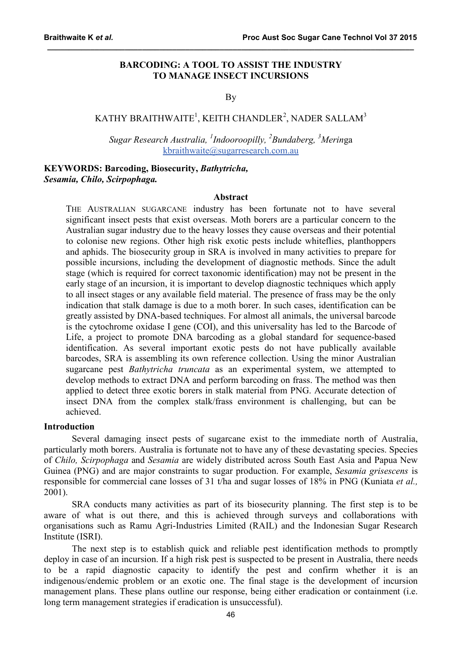# **BARCODING: A TOOL TO ASSIST THE INDUSTRY TO MANAGE INSECT INCURSIONS**

**\_\_\_\_\_\_\_\_\_\_\_\_\_\_\_\_\_\_\_\_\_\_\_\_\_\_\_\_\_\_\_\_\_\_\_\_\_\_\_\_\_\_\_\_\_\_\_\_\_\_\_\_\_\_\_\_\_\_\_\_\_\_\_\_\_\_\_\_\_\_\_\_\_\_\_\_\_\_\_\_\_\_\_\_\_**

### By

# KATHY BRAITHWAITE $^1$ , KEITH CHANDLER $^2$ , NADER SALLAM $^3$

*Sugar Research Australia, <sup>1</sup> Indooroopilly, <sup>2</sup> Bundaberg, <sup>3</sup> Merin*ga [kbraithwaite@sugarresearch.com.au](mailto:kbraithwaite@sugarresearch.com.au)

# **KEYWORDS: Barcoding, Biosecurity,** *Bathytricha, Sesamia, Chilo, Scirpophaga.*

#### **Abstract**

THE AUSTRALIAN SUGARCANE industry has been fortunate not to have several significant insect pests that exist overseas. Moth borers are a particular concern to the Australian sugar industry due to the heavy losses they cause overseas and their potential to colonise new regions. Other high risk exotic pests include whiteflies, planthoppers and aphids. The biosecurity group in SRA is involved in many activities to prepare for possible incursions, including the development of diagnostic methods. Since the adult stage (which is required for correct taxonomic identification) may not be present in the early stage of an incursion, it is important to develop diagnostic techniques which apply to all insect stages or any available field material. The presence of frass may be the only indication that stalk damage is due to a moth borer. In such cases, identification can be greatly assisted by DNA-based techniques. For almost all animals, the universal barcode is the cytochrome oxidase I gene (COI), and this universality has led to the Barcode of Life, a project to promote DNA barcoding as a global standard for sequence-based identification. As several important exotic pests do not have publically available barcodes, SRA is assembling its own reference collection. Using the minor Australian sugarcane pest *Bathytricha truncata* as an experimental system, we attempted to develop methods to extract DNA and perform barcoding on frass. The method was then applied to detect three exotic borers in stalk material from PNG. Accurate detection of insect DNA from the complex stalk/frass environment is challenging, but can be achieved.

#### **Introduction**

Several damaging insect pests of sugarcane exist to the immediate north of Australia, particularly moth borers. Australia is fortunate not to have any of these devastating species. Species of *Chilo, Scirpophaga* and *Sesamia* are widely distributed across South East Asia and Papua New Guinea (PNG) and are major constraints to sugar production. For example, *Sesamia grisescens* is responsible for commercial cane losses of 31 t/ha and sugar losses of 18% in PNG (Kuniata *et al.,* 2001).

SRA conducts many activities as part of its biosecurity planning. The first step is to be aware of what is out there, and this is achieved through surveys and collaborations with organisations such as Ramu Agri-Industries Limited (RAIL) and the Indonesian Sugar Research Institute (ISRI).

The next step is to establish quick and reliable pest identification methods to promptly deploy in case of an incursion. If a high risk pest is suspected to be present in Australia, there needs to be a rapid diagnostic capacity to identify the pest and confirm whether it is an indigenous/endemic problem or an exotic one. The final stage is the development of incursion management plans. These plans outline our response, being either eradication or containment (i.e. long term management strategies if eradication is unsuccessful).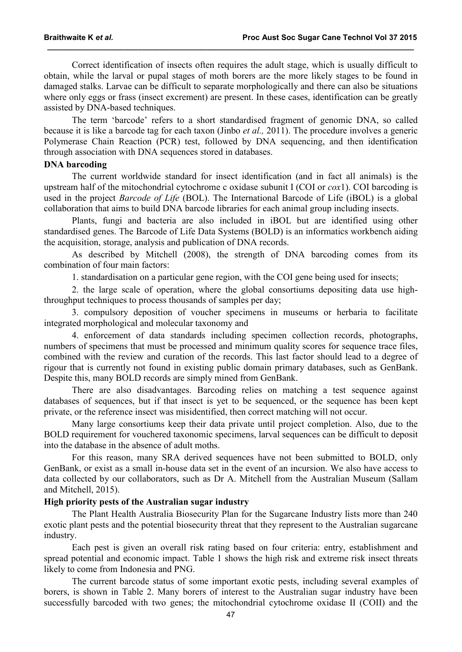Correct identification of insects often requires the adult stage, which is usually difficult to obtain, while the larval or pupal stages of moth borers are the more likely stages to be found in damaged stalks. Larvae can be difficult to separate morphologically and there can also be situations where only eggs or frass (insect excrement) are present. In these cases, identification can be greatly assisted by DNA-based techniques.

**\_\_\_\_\_\_\_\_\_\_\_\_\_\_\_\_\_\_\_\_\_\_\_\_\_\_\_\_\_\_\_\_\_\_\_\_\_\_\_\_\_\_\_\_\_\_\_\_\_\_\_\_\_\_\_\_\_\_\_\_\_\_\_\_\_\_\_\_\_\_\_\_\_\_\_\_\_\_\_\_\_\_\_\_\_**

The term 'barcode' refers to a short standardised fragment of genomic DNA, so called because it is like a barcode tag for each taxon (Jinbo *et al.,* 2011). The procedure involves a generic Polymerase Chain Reaction (PCR) test, followed by DNA sequencing, and then identification through association with DNA sequences stored in databases.

### **DNA barcoding**

The current worldwide standard for insect identification (and in fact all animals) is the upstream half of the mitochondrial cytochrome c oxidase subunit I (COI or *cox*1). COI barcoding is used in the project *Barcode of Life* (BOL). The International Barcode of Life (iBOL) is a global collaboration that aims to build DNA barcode libraries for each animal group including insects.

Plants, fungi and bacteria are also included in iBOL but are identified using other standardised genes. The Barcode of Life Data Systems (BOLD) is an informatics workbench aiding the acquisition, storage, analysis and publication of DNA records.

As described by Mitchell (2008), the strength of DNA barcoding comes from its combination of four main factors:

1. standardisation on a particular gene region, with the COI gene being used for insects;

2. the large scale of operation, where the global consortiums depositing data use highthroughput techniques to process thousands of samples per day;

3. compulsory deposition of voucher specimens in museums or herbaria to facilitate integrated morphological and molecular taxonomy and

4. enforcement of data standards including specimen collection records, photographs, numbers of specimens that must be processed and minimum quality scores for sequence trace files, combined with the review and curation of the records. This last factor should lead to a degree of rigour that is currently not found in existing public domain primary databases, such as GenBank. Despite this, many BOLD records are simply mined from GenBank.

There are also disadvantages. Barcoding relies on matching a test sequence against databases of sequences, but if that insect is yet to be sequenced, or the sequence has been kept private, or the reference insect was misidentified, then correct matching will not occur.

Many large consortiums keep their data private until project completion. Also, due to the BOLD requirement for vouchered taxonomic specimens, larval sequences can be difficult to deposit into the database in the absence of adult moths.

For this reason, many SRA derived sequences have not been submitted to BOLD, only GenBank, or exist as a small in-house data set in the event of an incursion. We also have access to data collected by our collaborators, such as Dr A. Mitchell from the Australian Museum (Sallam and Mitchell, 2015).

### **High priority pests of the Australian sugar industry**

The Plant Health Australia Biosecurity Plan for the Sugarcane Industry lists more than 240 exotic plant pests and the potential biosecurity threat that they represent to the Australian sugarcane industry.

Each pest is given an overall risk rating based on four criteria: entry, establishment and spread potential and economic impact. Table 1 shows the high risk and extreme risk insect threats likely to come from Indonesia and PNG.

The current barcode status of some important exotic pests, including several examples of borers, is shown in Table 2. Many borers of interest to the Australian sugar industry have been successfully barcoded with two genes; the mitochondrial cytochrome oxidase II (COII) and the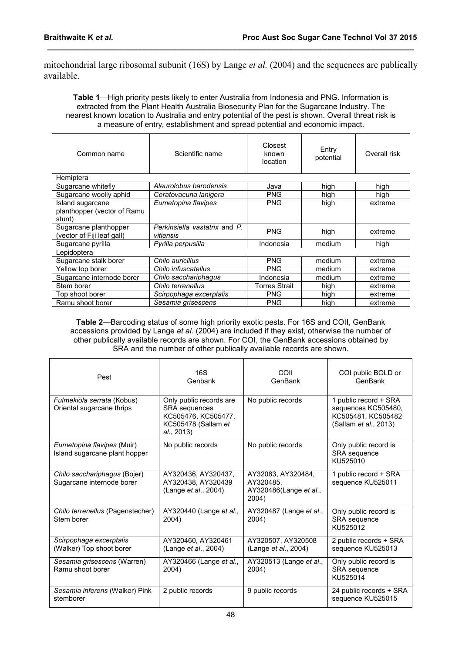mitochondrial large ribosomal subunit (16S) by Lange *et al.* (2004) and the sequences are publically available.

**\_\_\_\_\_\_\_\_\_\_\_\_\_\_\_\_\_\_\_\_\_\_\_\_\_\_\_\_\_\_\_\_\_\_\_\_\_\_\_\_\_\_\_\_\_\_\_\_\_\_\_\_\_\_\_\_\_\_\_\_\_\_\_\_\_\_\_\_\_\_\_\_\_\_\_\_\_\_\_\_\_\_\_\_\_**

**Table 1**—High priority pests likely to enter Australia from Indonesia and PNG. Information is extracted from the Plant Health Australia Biosecurity Plan for the Sugarcane Industry. The nearest known location to Australia and entry potential of the pest is shown. Overall threat risk is a measure of entry, establishment and spread potential and economic impact.

| Common name                                               | Closest<br>Scientific name<br>known<br>location |                      | Entry<br>potential | Overall risk |
|-----------------------------------------------------------|-------------------------------------------------|----------------------|--------------------|--------------|
| Hemiptera                                                 |                                                 |                      |                    |              |
| Sugarcane whitefly                                        | Aleurolobus barodensis                          | Java                 | high               | high         |
| Sugarcane woolly aphid                                    | Ceratovacuna lanigera                           | <b>PNG</b>           | high               | high         |
| Island sugarcane<br>planthopper (vector of Ramu<br>stunt) | Eumetopina flavipes                             | <b>PNG</b>           | high               | extreme      |
| Sugarcane planthopper<br>(vector of Fiji leaf gall)       | Perkinsiella vastatrix and P.<br>vitiensis      | <b>PNG</b>           | high               | extreme      |
| Sugarcane pyrilla                                         | Pyrilla perpusilla<br>Indonesia                 |                      | medium             | high         |
| Lepidoptera                                               |                                                 |                      |                    |              |
| Sugarcane stalk borer                                     | Chilo auricilius                                | <b>PNG</b>           | medium             | extreme      |
| Yellow top borer                                          | Chilo infuscatellus                             | <b>PNG</b>           | medium             | extreme      |
| Sugarcane internode borer                                 | Chilo sacchariphagus                            | Indonesia            | medium             | extreme      |
| Stem borer                                                | Chilo terrenellus                               | <b>Torres Strait</b> | high               | extreme      |
| Top shoot borer                                           | Scirpophaga excerptalis                         | <b>PNG</b>           | high               | extreme      |
| Ramu shoot borer                                          | Sesamia grisescens                              | <b>PNG</b>           | high               | extreme      |

**Table 2**—Barcoding status of some high priority exotic pests. For 16S and COII, GenBank accessions provided by Lange *et al.* (2004) are included if they exist, otherwise the number of other publically available records are shown. For COI, the GenBank accessions obtained by SRA and the number of other publically available records are shown.

| Pest                                                        | 16S<br>Genbank                                                                                              | COII<br>GenBank                                                           | COI public BOLD or<br>GenBank                                                               |
|-------------------------------------------------------------|-------------------------------------------------------------------------------------------------------------|---------------------------------------------------------------------------|---------------------------------------------------------------------------------------------|
| Fulmekiola serrata (Kobus)<br>Oriental sugarcane thrips     | Only public records are<br><b>SRA</b> sequences<br>KC505476, KC505477,<br>KC505478 (Sallam et<br>al., 2013) | No public records                                                         | 1 public record + SRA<br>sequences KC505480,<br>KC505481, KC505482<br>(Sallam et al., 2013) |
| Eumetopina flavipes (Muir)<br>Island sugarcane plant hopper | No public records                                                                                           | No public records                                                         | Only public record is<br><b>SRA</b> sequence<br>KU525010                                    |
| Chilo sacchariphagus (Bojer)<br>Sugarcane internode borer   | AY320436, AY320437,<br>AY320438, AY320439<br>(Lange <i>et al.</i> , 2004)                                   | AY32083, AY320484,<br>AY320485,<br>AY320486(Lange <i>et al.,</i><br>2004) | 1 public record + SRA<br>sequence KU525011                                                  |
| Chilo terrenellus (Pagenstecher)<br>Stem borer              | AY320440 (Lange et al.,<br>2004)                                                                            | AY320487 (Lange et al.,<br>2004)                                          | Only public record is<br><b>SRA</b> sequence<br>KU525012                                    |
| Scirpophaga excerptalis<br>(Walker) Top shoot borer         | AY320460. AY320461<br>(Lange <i>et al.</i> , 2004)                                                          | AY320507. AY320508<br>(Lange <i>et al.</i> , 2004)                        | 2 public records + SRA<br>sequence KU525013                                                 |
| Sesamia grisescens (Warren)<br>Ramu shoot borer             | AY320466 (Lange et al.,<br>2004)                                                                            | AY320513 (Lange et al.,<br>2004)                                          | Only public record is<br>SRA sequence<br>KU525014                                           |
| Sesamia inferens (Walker) Pink<br>stemborer                 | 2 public records                                                                                            | 9 public records                                                          | 24 public records + SRA<br>sequence KU525015                                                |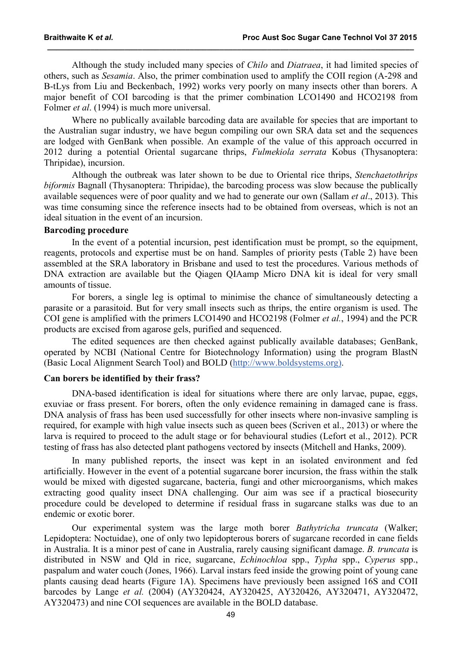Although the study included many species of *Chilo* and *Diatraea*, it had limited species of others, such as *Sesamia*. Also, the primer combination used to amplify the COII region (A-298 and B-tLys from Liu and Beckenbach, 1992) works very poorly on many insects other than borers. A major benefit of COI barcoding is that the primer combination LCO1490 and HCO2198 from Folmer *et al*. (1994) is much more universal.

**\_\_\_\_\_\_\_\_\_\_\_\_\_\_\_\_\_\_\_\_\_\_\_\_\_\_\_\_\_\_\_\_\_\_\_\_\_\_\_\_\_\_\_\_\_\_\_\_\_\_\_\_\_\_\_\_\_\_\_\_\_\_\_\_\_\_\_\_\_\_\_\_\_\_\_\_\_\_\_\_\_\_\_\_\_**

Where no publically available barcoding data are available for species that are important to the Australian sugar industry, we have begun compiling our own SRA data set and the sequences are lodged with GenBank when possible. An example of the value of this approach occurred in 2012 during a potential Oriental sugarcane thrips, *Fulmekiola serrata* Kobus (Thysanoptera: Thripidae), incursion.

Although the outbreak was later shown to be due to Oriental rice thrips, *Stenchaetothrips biformis* Bagnall (Thysanoptera: Thripidae), the barcoding process was slow because the publically available sequences were of poor quality and we had to generate our own (Sallam *et al*., 2013). This was time consuming since the reference insects had to be obtained from overseas, which is not an ideal situation in the event of an incursion.

#### **Barcoding procedure**

In the event of a potential incursion, pest identification must be prompt, so the equipment, reagents, protocols and expertise must be on hand. Samples of priority pests (Table 2) have been assembled at the SRA laboratory in Brisbane and used to test the procedures. Various methods of DNA extraction are available but the Qiagen QIAamp Micro DNA kit is ideal for very small amounts of tissue.

For borers, a single leg is optimal to minimise the chance of simultaneously detecting a parasite or a parasitoid. But for very small insects such as thrips, the entire organism is used. The COI gene is amplified with the primers LCO1490 and HCO2198 (Folmer *et al.*, 1994) and the PCR products are excised from agarose gels, purified and sequenced.

The edited sequences are then checked against publically available databases; GenBank, operated by NCBI (National Centre for Biotechnology Information) using the program BlastN (Basic Local Alignment Search Tool) and BOLD [\(http://www.boldsystems.org\).](http://www.boldsystems.org)/)

### **Can borers be identified by their frass?**

DNA-based identification is ideal for situations where there are only larvae, pupae, eggs, exuviae or frass present. For borers, often the only evidence remaining in damaged cane is frass. DNA analysis of frass has been used successfully for other insects where non-invasive sampling is required, for example with high value insects such as queen bees (Scriven et al., 2013) or where the larva is required to proceed to the adult stage or for behavioural studies (Lefort et al., 2012). PCR testing of frass has also detected plant pathogens vectored by insects (Mitchell and Hanks, 2009).

In many published reports, the insect was kept in an isolated environment and fed artificially. However in the event of a potential sugarcane borer incursion, the frass within the stalk would be mixed with digested sugarcane, bacteria, fungi and other microorganisms, which makes extracting good quality insect DNA challenging. Our aim was see if a practical biosecurity procedure could be developed to determine if residual frass in sugarcane stalks was due to an endemic or exotic borer.

Our experimental system was the large moth borer *Bathytricha truncata* (Walker; Lepidoptera: Noctuidae), one of only two lepidopterous borers of sugarcane recorded in cane fields in Australia. It is a minor pest of cane in Australia, rarely causing significant damage. *B. truncata* is distributed in NSW and Qld in rice, sugarcane, *Echinochloa* spp., *Typha* spp., *Cyperus* spp., paspalum and water couch (Jones, 1966). Larval instars feed inside the growing point of young cane plants causing dead hearts (Figure 1A). Specimens have previously been assigned 16S and COII barcodes by Lange *et al.* (2004) (AY320424, AY320425, AY320426, AY320471, AY320472, AY320473) and nine COI sequences are available in the BOLD database.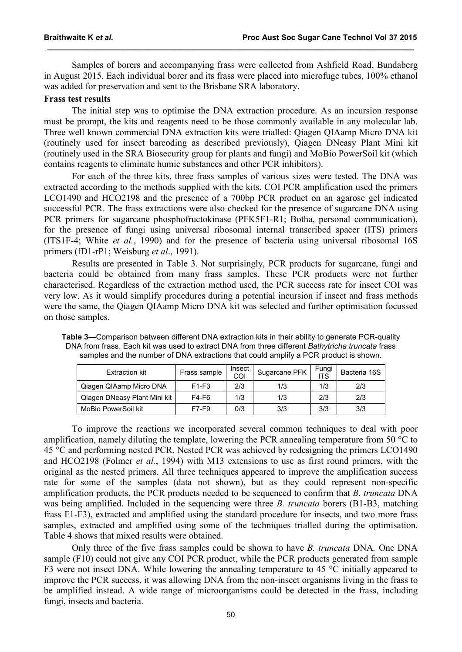Samples of borers and accompanying frass were collected from Ashfield Road, Bundaberg in August 2015. Each individual borer and its frass were placed into microfuge tubes, 100% ethanol was added for preservation and sent to the Brisbane SRA laboratory.

**\_\_\_\_\_\_\_\_\_\_\_\_\_\_\_\_\_\_\_\_\_\_\_\_\_\_\_\_\_\_\_\_\_\_\_\_\_\_\_\_\_\_\_\_\_\_\_\_\_\_\_\_\_\_\_\_\_\_\_\_\_\_\_\_\_\_\_\_\_\_\_\_\_\_\_\_\_\_\_\_\_\_\_\_\_**

# **Frass test results**

The initial step was to optimise the DNA extraction procedure. As an incursion response must be prompt, the kits and reagents need to be those commonly available in any molecular lab. Three well known commercial DNA extraction kits were trialled: Qiagen QIAamp Micro DNA kit (routinely used for insect barcoding as described previously), Qiagen DNeasy Plant Mini kit (routinely used in the SRA Biosecurity group for plants and fungi) and MoBio PowerSoil kit (which contains reagents to eliminate humic substances and other PCR inhibitors).

For each of the three kits, three frass samples of various sizes were tested. The DNA was extracted according to the methods supplied with the kits. COI PCR amplification used the primers LCO1490 and HCO2198 and the presence of a 700bp PCR product on an agarose gel indicated successful PCR. The frass extractions were also checked for the presence of sugarcane DNA using PCR primers for sugarcane phosphofructokinase (PFK5F1-R1; Botha, personal communication), for the presence of fungi using universal ribosomal internal transcribed spacer (ITS) primers (ITS1F-4; White *et al.*, 1990) and for the presence of bacteria using universal ribosomal 16S primers (fD1-rP1; Weisburg *et al*., 1991).

Results are presented in Table 3. Not surprisingly, PCR products for sugarcane, fungi and bacteria could be obtained from many frass samples. These PCR products were not further characterised. Regardless of the extraction method used, the PCR success rate for insect COI was very low. As it would simplify procedures during a potential incursion if insect and frass methods were the same, the Qiagen QIAamp Micro DNA kit was selected and further optimisation focussed on those samples.

| <b>Extraction kit</b>        | Frass sample | Insect<br>COI | Sugarcane PFK | Fungi<br><b>ITS</b> | Bacteria 16S |
|------------------------------|--------------|---------------|---------------|---------------------|--------------|
| Qiagen QIAamp Micro DNA      | $F1-F3$      | 2/3           | 1/3           | 1/3                 | 2/3          |
| Qiagen DNeasy Plant Mini kit | F4-F6        | 1/3           | 1/3           | 2/3                 | 2/3          |
| MoBio PowerSoil kit          | F7-F9        | 0/3           | 3/3           | 3/3                 | 3/3          |

**Table 3**—Comparison between different DNA extraction kits in their ability to generate PCR-quality DNA from frass. Each kit was used to extract DNA from three different *Bathytricha truncata* frass samples and the number of DNA extractions that could amplify a PCR product is shown.

To improve the reactions we incorporated several common techniques to deal with poor amplification, namely diluting the template, lowering the PCR annealing temperature from 50 °C to 45 °C and performing nested PCR. Nested PCR was achieved by redesigning the primers LCO1490 and HCO2198 (Folmer *et al.*, 1994) with M13 extensions to use as first round primers, with the original as the nested primers. All three techniques appeared to improve the amplification success rate for some of the samples (data not shown), but as they could represent non-specific amplification products, the PCR products needed to be sequenced to confirm that *B*. *truncata* DNA was being amplified. Included in the sequencing were three *B. truncata* borers (B1-B3, matching frass F1-F3), extracted and amplified using the standard procedure for insects, and two more frass samples, extracted and amplified using some of the techniques trialled during the optimisation. Table 4 shows that mixed results were obtained.

Only three of the five frass samples could be shown to have *B. truncata* DNA*.* One DNA sample (F10) could not give any COI PCR product, while the PCR products generated from sample F3 were not insect DNA. While lowering the annealing temperature to 45 °C initially appeared to improve the PCR success, it was allowing DNA from the non-insect organisms living in the frass to be amplified instead. A wide range of microorganisms could be detected in the frass, including fungi, insects and bacteria.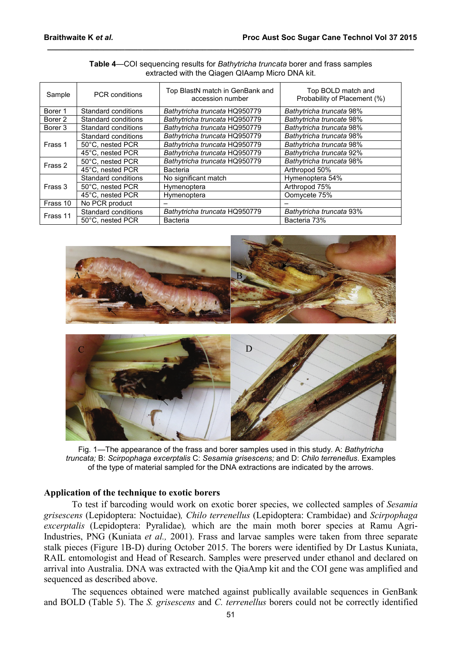| Sample   | <b>PCR</b> conditions | Top BlastN match in GenBank and<br>accession number | Top BOLD match and<br>Probability of Placement (%) |
|----------|-----------------------|-----------------------------------------------------|----------------------------------------------------|
| Borer 1  | Standard conditions   | Bathytricha truncata HQ950779                       | Bathytricha truncata 98%                           |
| Borer 2  | Standard conditions   | Bathytricha truncata HQ950779                       | Bathytricha truncate 98%                           |
| Borer 3  | Standard conditions   | Bathytricha truncata HQ950779                       | Bathytricha truncata 98%                           |
|          | Standard conditions   | Bathytricha truncata HQ950779                       | Bathytricha truncata 98%                           |
| Frass 1  | 50°C. nested PCR      | Bathytricha truncata HQ950779                       | Bathytricha truncata 98%                           |
|          | 45°C. nested PCR      | Bathytricha truncata HQ950779                       | Bathytricha truncata 92%                           |
| Frass 2  | 50°C. nested PCR      | Bathytricha truncata HQ950779                       | Bathytricha truncata 98%                           |
|          | 45°C. nested PCR      | <b>Bacteria</b>                                     | Arthropod 50%                                      |
|          | Standard conditions   | No significant match                                | Hymenoptera 54%                                    |
| Frass 3  | 50°C, nested PCR      | Hymenoptera                                         | Arthropod 75%                                      |
|          | 45°C, nested PCR      | Hymenoptera                                         | Oomycete 75%                                       |
| Frass 10 | No PCR product        |                                                     |                                                    |
| Frass 11 | Standard conditions   | Bathytricha truncata HQ950779                       | Bathytricha truncata 93%                           |
|          | 50°C. nested PCR      | Bacteria                                            | Bacteria 73%                                       |

#### **Table 4**—COI sequencing results for *Bathytricha truncata* borer and frass samples extracted with the Qiagen QIAamp Micro DNA kit.

**\_\_\_\_\_\_\_\_\_\_\_\_\_\_\_\_\_\_\_\_\_\_\_\_\_\_\_\_\_\_\_\_\_\_\_\_\_\_\_\_\_\_\_\_\_\_\_\_\_\_\_\_\_\_\_\_\_\_\_\_\_\_\_\_\_\_\_\_\_\_\_\_\_\_\_\_\_\_\_\_\_\_\_\_\_**





Fig. 1—The appearance of the frass and borer samples used in this study. A: *Bathytricha truncata;* B: *Scirpophaga excerptalis* C: *Sesamia grisescens;* and D: *Chilo terrenellus*. Examples of the type of material sampled for the DNA extractions are indicated by the arrows.

## **Application of the technique to exotic borers**

To test if barcoding would work on exotic borer species, we collected samples of *Sesamia grisescens* (Lepidoptera: Noctuidae)*, Chilo terrenellus* (Lepidoptera: Crambidae) and *Scirpophaga excerptalis* (Lepidoptera: Pyralidae)*,* which are the main moth borer species at Ramu Agri-Industries, PNG (Kuniata *et al.,* 2001). Frass and larvae samples were taken from three separate stalk pieces (Figure 1B-D) during October 2015. The borers were identified by Dr Lastus Kuniata, RAIL entomologist and Head of Research. Samples were preserved under ethanol and declared on arrival into Australia. DNA was extracted with the QiaAmp kit and the COI gene was amplified and sequenced as described above.

The sequences obtained were matched against publically available sequences in GenBank and BOLD (Table 5). The *S. grisescens* and *C. terrenellus* borers could not be correctly identified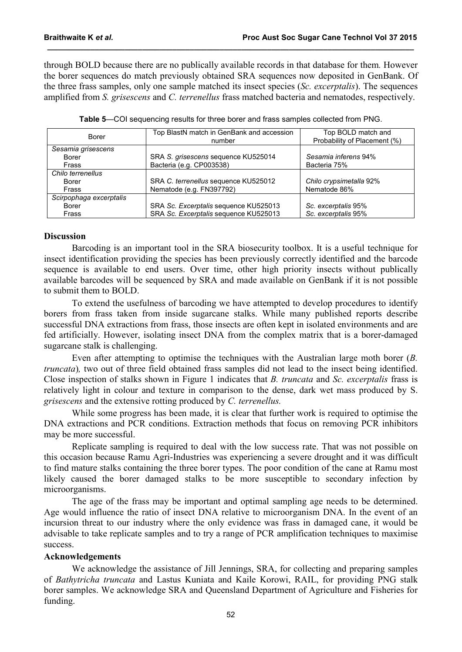through BOLD because there are no publically available records in that database for them*.* However the borer sequences do match previously obtained SRA sequences now deposited in GenBank. Of the three frass samples, only one sample matched its insect species (*Sc. excerptalis*). The sequences amplified from *S. grisescens* and *C. terrenellus* frass matched bacteria and nematodes, respectively.

**\_\_\_\_\_\_\_\_\_\_\_\_\_\_\_\_\_\_\_\_\_\_\_\_\_\_\_\_\_\_\_\_\_\_\_\_\_\_\_\_\_\_\_\_\_\_\_\_\_\_\_\_\_\_\_\_\_\_\_\_\_\_\_\_\_\_\_\_\_\_\_\_\_\_\_\_\_\_\_\_\_\_\_\_\_**

| Borer                   | Top BlastN match in GenBank and accession | Top BOLD match and           |  |
|-------------------------|-------------------------------------------|------------------------------|--|
|                         | number                                    | Probability of Placement (%) |  |
| Sesamia grisescens      |                                           |                              |  |
| Borer                   | SRA S. grisescens sequence KU525014       | Sesamia inferens 94%         |  |
| Frass                   | Bacteria (e.g. CP003538)                  | Bacteria 75%                 |  |
| Chilo terrenellus       |                                           |                              |  |
| Borer                   | SRA C. terrenellus sequence KU525012      | Chilo crypsimetalla 92%      |  |
| Frass                   | Nematode (e.g. FN397792)                  | Nematode 86%                 |  |
| Scirpophaga excerptalis |                                           |                              |  |
| Borer                   | SRA Sc. Excerptalis sequence KU525013     | Sc. excerptalis 95%          |  |
| Frass                   | SRA Sc. Excerptalis sequence KU525013     | Sc. excerptalis 95%          |  |

| Table 5—COI sequencing results for three borer and frass samples collected from PNG. |  |  |
|--------------------------------------------------------------------------------------|--|--|
|--------------------------------------------------------------------------------------|--|--|

### **Discussion**

Barcoding is an important tool in the SRA biosecurity toolbox. It is a useful technique for insect identification providing the species has been previously correctly identified and the barcode sequence is available to end users. Over time, other high priority insects without publically available barcodes will be sequenced by SRA and made available on GenBank if it is not possible to submit them to BOLD.

To extend the usefulness of barcoding we have attempted to develop procedures to identify borers from frass taken from inside sugarcane stalks. While many published reports describe successful DNA extractions from frass, those insects are often kept in isolated environments and are fed artificially. However, isolating insect DNA from the complex matrix that is a borer-damaged sugarcane stalk is challenging.

Even after attempting to optimise the techniques with the Australian large moth borer (*B. truncata*), two out of three field obtained frass samples did not lead to the insect being identified. Close inspection of stalks shown in Figure 1 indicates that *B. truncata* and *Sc. excerptalis* frass is relatively light in colour and texture in comparison to the dense, dark wet mass produced by S. *grisescens* and the extensive rotting produced by *C. terrenellus.*

While some progress has been made, it is clear that further work is required to optimise the DNA extractions and PCR conditions. Extraction methods that focus on removing PCR inhibitors may be more successful.

Replicate sampling is required to deal with the low success rate. That was not possible on this occasion because Ramu Agri-Industries was experiencing a severe drought and it was difficult to find mature stalks containing the three borer types. The poor condition of the cane at Ramu most likely caused the borer damaged stalks to be more susceptible to secondary infection by microorganisms.

The age of the frass may be important and optimal sampling age needs to be determined. Age would influence the ratio of insect DNA relative to microorganism DNA. In the event of an incursion threat to our industry where the only evidence was frass in damaged cane, it would be advisable to take replicate samples and to try a range of PCR amplification techniques to maximise success.

## **Acknowledgements**

We acknowledge the assistance of Jill Jennings, SRA, for collecting and preparing samples of *Bathytricha truncata* and Lastus Kuniata and Kaile Korowi, RAIL, for providing PNG stalk borer samples. We acknowledge SRA and Queensland Department of Agriculture and Fisheries for funding.